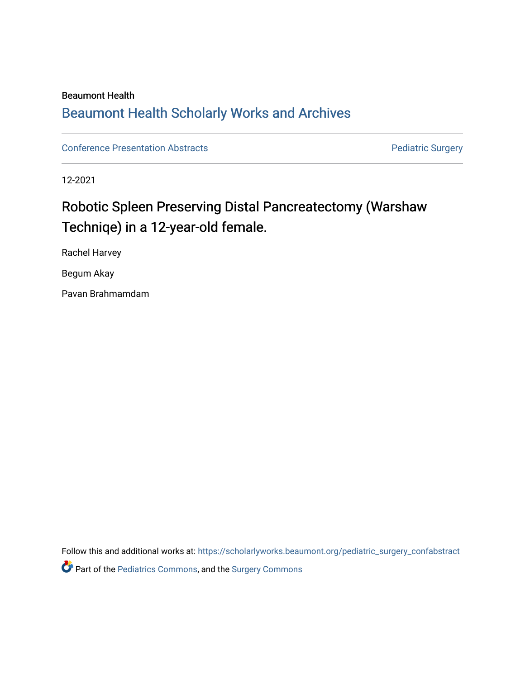### Beaumont Health

## [Beaumont Health Scholarly Works and Archives](https://scholarlyworks.beaumont.org/)

[Conference Presentation Abstracts](https://scholarlyworks.beaumont.org/pediatric_surgery_confabstract) **Property** Pediatric Surgery

12-2021

# Robotic Spleen Preserving Distal Pancreatectomy (Warshaw Techniqe) in a 12-year-old female.

Rachel Harvey

Begum Akay

Pavan Brahmamdam

Follow this and additional works at: [https://scholarlyworks.beaumont.org/pediatric\\_surgery\\_confabstract](https://scholarlyworks.beaumont.org/pediatric_surgery_confabstract?utm_source=scholarlyworks.beaumont.org%2Fpediatric_surgery_confabstract%2F5&utm_medium=PDF&utm_campaign=PDFCoverPages)  **P** Part of the [Pediatrics Commons](http://network.bepress.com/hgg/discipline/700?utm_source=scholarlyworks.beaumont.org%2Fpediatric_surgery_confabstract%2F5&utm_medium=PDF&utm_campaign=PDFCoverPages), and the Surgery Commons